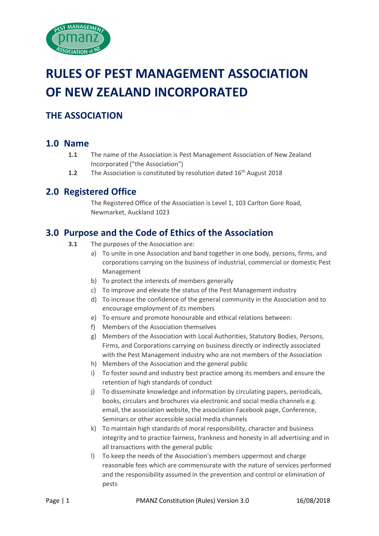

# **RULES OF PEST MANAGEMENT ASSOCIATION OF NEW ZEALAND INCORPORATED**

# **THE ASSOCIATION**

### **1.0 Name**

- **1.1** The name of the Association is Pest Management Association of New Zealand Incorporated ("the Association")
- **1.2** The Association is constituted by resolution dated 16<sup>th</sup> August 2018

## **2.0 Registered Office**

The Registered Office of the Association is Level 1, 103 Carlton Gore Road, Newmarket, Auckland 1023

## **3.0 Purpose and the Code of Ethics of the Association**

- **3.1** The purposes of the Association are:
	- a) To unite in one Association and band together in one body, persons, firms, and corporations carrying on the business of industrial, commercial or domestic Pest Management
	- b) To protect the interests of members generally
	- c) To improve and elevate the status of the Pest Management industry
	- d) To increase the confidence of the general community in the Association and to encourage employment of its members
	- e) To ensure and promote honourable and ethical relations between:
	- f) Members of the Association themselves
	- g) Members of the Association with Local Authorities, Statutory Bodies, Persons, Firms, and Corporations carrying on business directly or indirectly associated with the Pest Management industry who are not members of the Association
	- h) Members of the Association and the general public
	- i) To foster sound and industry best practice among its members and ensure the retention of high standards of conduct
	- j) To disseminate knowledge and information by circulating papers, periodicals, books, circulars and brochures via electronic and social media channels e.g. email, the association website, the association Facebook page, Conference, Seminars or other accessible social media channels
	- k) To maintain high standards of moral responsibility, character and business integrity and to practice fairness, frankness and honesty in all advertising and in all transactions with the general public
	- l) To keep the needs of the Association's members uppermost and charge reasonable fees which are commensurate with the nature of services performed and the responsibility assumed in the prevention and control or elimination of pests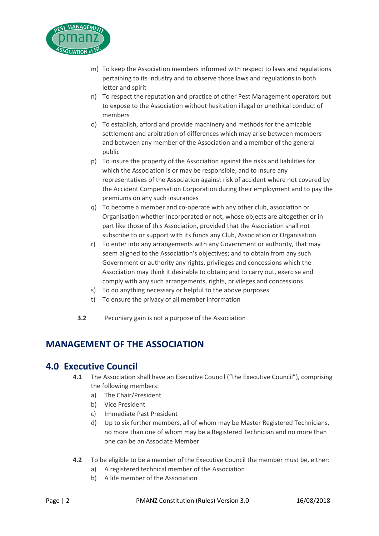

- m) To keep the Association members informed with respect to laws and regulations pertaining to its industry and to observe those laws and regulations in both letter and spirit
- n) To respect the reputation and practice of other Pest Management operators but to expose to the Association without hesitation illegal or unethical conduct of members
- o) To establish, afford and provide machinery and methods for the amicable settlement and arbitration of differences which may arise between members and between any member of the Association and a member of the general public
- p) To insure the property of the Association against the risks and liabilities for which the Association is or may be responsible, and to insure any representatives of the Association against risk of accident where not covered by the Accident Compensation Corporation during their employment and to pay the premiums on any such insurances
- q) To become a member and co-operate with any other club, association or Organisation whether incorporated or not, whose objects are altogether or in part like those of this Association, provided that the Association shall not subscribe to or support with its funds any Club, Association or Organisation
- r) To enter into any arrangements with any Government or authority, that may seem aligned to the Association's objectives; and to obtain from any such Government or authority any rights, privileges and concessions which the Association may think it desirable to obtain; and to carry out, exercise and comply with any such arrangements, rights, privileges and concessions
- s) To do anything necessary or helpful to the above purposes
- t) To ensure the privacy of all member information
- **3.2** Pecuniary gain is not a purpose of the Association

# **MANAGEMENT OF THE ASSOCIATION**

#### **4.0 Executive Council**

- **4.1** The Association shall have an Executive Council ("the Executive Council"), comprising the following members:
	- a) The Chair/President
	- b) Vice President
	- c) Immediate Past President
	- d) Up to six further members, all of whom may be Master Registered Technicians, no more than one of whom may be a Registered Technician and no more than one can be an Associate Member.
- **4.2** To be eligible to be a member of the Executive Council the member must be, either:
	- a) A registered technical member of the Association
	- b) A life member of the Association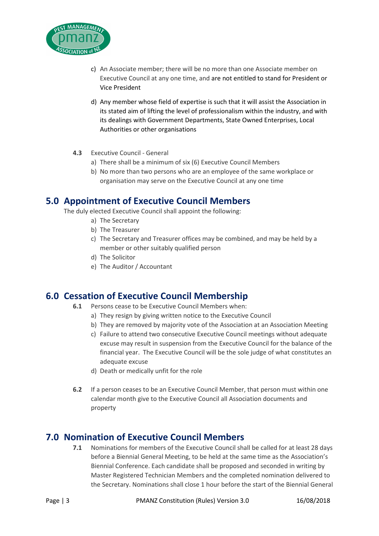

- c) An Associate member; there will be no more than one Associate member on Executive Council at any one time, and are not entitled to stand for President or Vice President
- d) Any member whose field of expertise is such that it will assist the Association in its stated aim of lifting the level of professionalism within the industry, and with its dealings with Government Departments, State Owned Enterprises, Local Authorities or other organisations
- **4.3** Executive Council General
	- a) There shall be a minimum of six (6) Executive Council Members
	- b) No more than two persons who are an employee of the same workplace or organisation may serve on the Executive Council at any one time

### **5.0 Appointment of Executive Council Members**

The duly elected Executive Council shall appoint the following:

- a) The Secretary
- b) The Treasurer
- c) The Secretary and Treasurer offices may be combined, and may be held by a member or other suitably qualified person
- d) The Solicitor
- e) The Auditor / Accountant

## **6.0 Cessation of Executive Council Membership**

- **6.1** Persons cease to be Executive Council Members when:
	- a) They resign by giving written notice to the Executive Council
	- b) They are removed by majority vote of the Association at an Association Meeting
	- c) Failure to attend two consecutive Executive Council meetings without adequate excuse may result in suspension from the Executive Council for the balance of the financial year. The Executive Council will be the sole judge of what constitutes an adequate excuse
	- d) Death or medically unfit for the role
- **6.2** If a person ceases to be an Executive Council Member, that person must within one calendar month give to the Executive Council all Association documents and property

### **7.0 Nomination of Executive Council Members**

**7.1** Nominations for members of the Executive Council shall be called for at least 28 days before a Biennial General Meeting, to be held at the same time as the Association's Biennial Conference. Each candidate shall be proposed and seconded in writing by Master Registered Technician Members and the completed nomination delivered to the Secretary. Nominations shall close 1 hour before the start of the Biennial General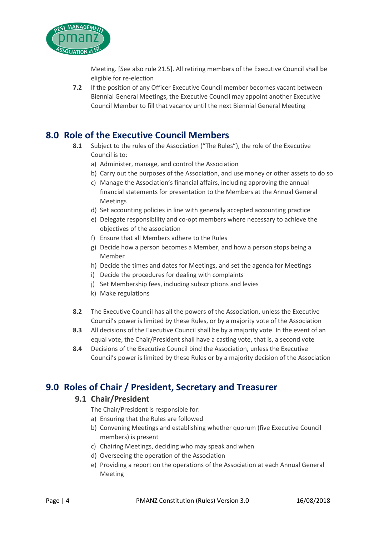

Meeting. [See also rule 21.5]. All retiring members of the Executive Council shall be eligible for re-election

**7.2** If the position of any Officer Executive Council member becomes vacant between Biennial General Meetings, the Executive Council may appoint another Executive Council Member to fill that vacancy until the next Biennial General Meeting

## **8.0 Role of the Executive Council Members**

- **8.1** Subject to the rules of the Association ("The Rules"), the role of the Executive Council is to:
	- a) Administer, manage, and control the Association
	- b) Carry out the purposes of the Association, and use money or other assets to do so
	- c) Manage the Association's financial affairs, including approving the annual financial statements for presentation to the Members at the Annual General Meetings
	- d) Set accounting policies in line with generally accepted accounting practice
	- e) Delegate responsibility and co-opt members where necessary to achieve the objectives of the association
	- f) Ensure that all Members adhere to the Rules
	- g) Decide how a person becomes a Member, and how a person stops being a Member
	- h) Decide the times and dates for Meetings, and set the agenda for Meetings
	- i) Decide the procedures for dealing with complaints
	- j) Set Membership fees, including subscriptions and levies
	- k) Make regulations
- **8.2** The Executive Council has all the powers of the Association, unless the Executive Council's power is limited by these Rules, or by a majority vote of the Association
- **8.3** All decisions of the Executive Council shall be by a majority vote. In the event of an equal vote, the Chair/President shall have a casting vote, that is, a second vote
- **8.4** Decisions of the Executive Council bind the Association, unless the Executive Council's power is limited by these Rules or by a majority decision of the Association

## **9.0 Roles of Chair / President, Secretary and Treasurer**

#### **9.1 Chair/President**

- The Chair/President is responsible for:
- a) Ensuring that the Rules are followed
- b) Convening Meetings and establishing whether quorum (five Executive Council members) is present
- c) Chairing Meetings, deciding who may speak and when
- d) Overseeing the operation of the Association
- e) Providing a report on the operations of the Association at each Annual General Meeting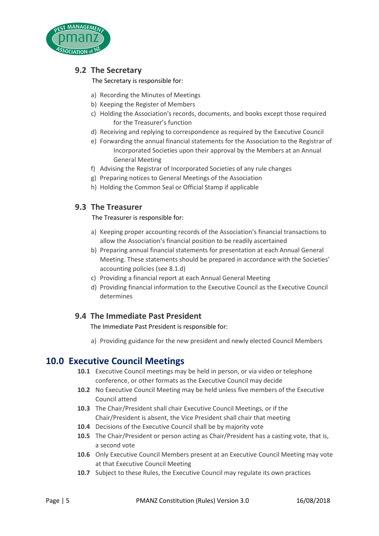

#### **9.2 The Secretary**

The Secretary is responsible for:

- a) Recording the Minutes of Meetings
- b) Keeping the Register of Members
- c) Holding the Association's records, documents, and books except those required for the Treasurer's function
- d) Receiving and replying to correspondence as required by the Executive Council
- e) Forwarding the annual financial statements for the Association to the Registrar of Incorporated Societies upon their approval by the Members at an Annual General Meeting
- f) Advising the Registrar of Incorporated Societies of any rule changes
- g) Preparing notices to General Meetings of the Association
- h) Holding the Common Seal or Official Stamp if applicable

#### **9.3 The Treasurer**

The Treasurer is responsible for:

- a) Keeping proper accounting records of the Association's financial transactions to allow the Association's financial position to be readily ascertained
- b) Preparing annual financial statements for presentation at each Annual General Meeting. These statements should be prepared in accordance with the Societies' accounting policies (see 8.1.d)
- c) Providing a financial report at each Annual General Meeting
- d) Providing financial information to the Executive Council as the Executive Council determines

#### **9.4 The Immediate Past President**

The Immediate Past President is responsible for:

a) Providing guidance for the new president and newly elected Council Members

## **10.0 Executive Council Meetings**

- **10.1** Executive Council meetings may be held in person, or via video or telephone conference, or other formats as the Executive Council may decide
- **10.2** No Executive Council Meeting may be held unless five members of the Executive Council attend
- **10.3** The Chair/President shall chair Executive Council Meetings, or if the Chair/President is absent, the Vice President shall chair that meeting
- **10.4** Decisions of the Executive Council shall be by majority vote
- **10.5** The Chair/President or person acting as Chair/President has a casting vote, that is, a second vote
- **10.6** Only Executive Council Members present at an Executive Council Meeting may vote at that Executive Council Meeting
- **10.7** Subject to these Rules, the Executive Council may regulate its own practices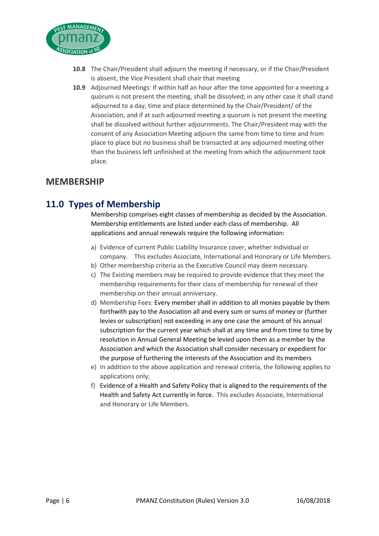

- **10.8** The Chair/President shall adjourn the meeting if necessary, or if the Chair/President is absent, the Vice President shall chair that meeting
- **10.9** Adjourned Meetings: If within half an hour after the time appointed for a meeting a quorum is not present the meeting, shall be dissolved; in any other case it shall stand adjourned to a day, time and place determined by the Chair/President/ of the Association, and if at such adjourned meeting a quorum is not present the meeting shall be dissolved without further adjournments. The Chair/President may with the consent of any Association Meeting adjourn the same from time to time and from place to place but no business shall be transacted at any adjourned meeting other than the business left unfinished at the meeting from which the adjournment took place.

#### **MEMBERSHIP**

## **11.0 Types of Membership**

Membership comprises eight classes of membership as decided by the Association. Membership entitlements are listed under each class of membership. All applications and annual renewals require the following information:

- a) Evidence of current Public Liability Insurance cover, whether individual or company. This excludes Associate, International and Honorary or Life Members.
- b) Other membership criteria as the Executive Council may deem necessary.
- c) The Existing members may be required to provide evidence that they meet the membership requirements for their class of membership for renewal of their membership on their annual anniversary.
- d) Membership Fees: Every member shall in addition to all monies payable by them forthwith pay to the Association all and every sum or sums of money or (further levies or subscription) not exceeding in any one case the amount of his annual subscription for the current year which shall at any time and from time to time by resolution in Annual General Meeting be levied upon them as a member by the Association and which the Association shall consider necessary or expedient for the purpose of furthering the interests of the Association and its members
- e) In addition to the above application and renewal criteria, the following applies to applications only;
- f) Evidence of a Health and Safety Policy that is aligned to the requirements of the Health and Safety Act currently in force. This excludes Associate, International and Honorary or Life Members.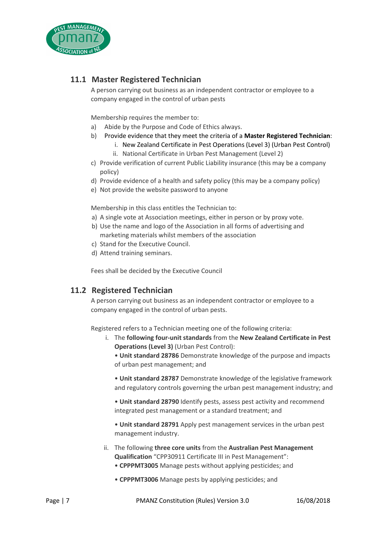

#### **11.1 Master Registered Technician**

A person carrying out business as an independent contractor or employee to a company engaged in the control of urban pests

Membership requires the member to:

- a) Abide by the Purpose and Code of Ethics always.
- b) Provide evidence that they meet the criteria of a **Master Registered Technician**:
	- i. New Zealand Certificate in Pest Operations (Level 3) (Urban Pest Control)
	- ii. National Certificate in Urban Pest Management (Level 2)
- c) Provide verification of current Public Liability insurance (this may be a company policy)
- d) Provide evidence of a health and safety policy (this may be a company policy)
- e) Not provide the website password to anyone

Membership in this class entitles the Technician to:

- a) A single vote at Association meetings, either in person or by proxy vote.
- b) Use the name and logo of the Association in all forms of advertising and marketing materials whilst members of the association
- c) Stand for the Executive Council.
- d) Attend training seminars.

Fees shall be decided by the Executive Council

#### **11.2 Registered Technician**

A person carrying out business as an independent contractor or employee to a company engaged in the control of urban pests.

Registered refers to a Technician meeting one of the following criteria:

i. The **following four-unit standards** from the **New Zealand Certificate in Pest Operations (Level 3)** (Urban Pest Control):

• **Unit standard 28786** Demonstrate knowledge of the purpose and impacts of urban pest management; and

• **Unit standard 28787** Demonstrate knowledge of the legislative framework and regulatory controls governing the urban pest management industry; and

• **Unit standard 28790** Identify pests, assess pest activity and recommend integrated pest management or a standard treatment; and

• **Unit standard 28791** Apply pest management services in the urban pest management industry.

- ii. The following **three core units** from the **Australian Pest Management Qualification** "CPP30911 Certificate III in Pest Management": • **CPPPMT3005** Manage pests without applying pesticides; and
	- **CPPPMT3006** Manage pests by applying pesticides; and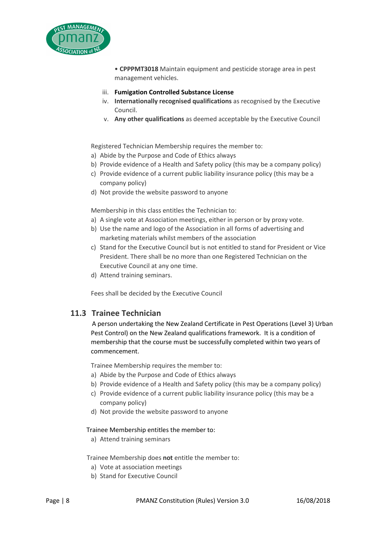

• **CPPPMT3018** Maintain equipment and pesticide storage area in pest management vehicles.

- iii. **Fumigation Controlled Substance License**
- iv. **Internationally recognised qualifications** as recognised by the Executive Council.
- v. **Any other qualifications** as deemed acceptable by the Executive Council

Registered Technician Membership requires the member to:

- a) Abide by the Purpose and Code of Ethics always
- b) Provide evidence of a Health and Safety policy (this may be a company policy)
- c) Provide evidence of a current public liability insurance policy (this may be a company policy)
- d) Not provide the website password to anyone

Membership in this class entitles the Technician to:

- a) A single vote at Association meetings, either in person or by proxy vote.
- b) Use the name and logo of the Association in all forms of advertising and marketing materials whilst members of the association
- c) Stand for the Executive Council but is not entitled to stand for President or Vice President. There shall be no more than one Registered Technician on the Executive Council at any one time.
- d) Attend training seminars.

Fees shall be decided by the Executive Council

#### **11.3 Trainee Technician**

A person undertaking the New Zealand Certificate in Pest Operations (Level 3) Urban Pest Control) on the New Zealand qualifications framework. It is a condition of membership that the course must be successfully completed within two years of commencement.

Trainee Membership requires the member to:

- a) Abide by the Purpose and Code of Ethics always
- b) Provide evidence of a Health and Safety policy (this may be a company policy)
- c) Provide evidence of a current public liability insurance policy (this may be a company policy)
- d) Not provide the website password to anyone

#### Trainee Membership entitles the member to:

a) Attend training seminars

Trainee Membership does **not** entitle the member to:

- a) Vote at association meetings
- b) Stand for Executive Council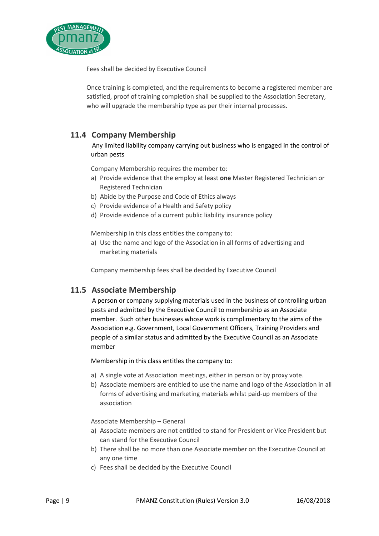

Fees shall be decided by Executive Council

Once training is completed, and the requirements to become a registered member are satisfied, proof of training completion shall be supplied to the Association Secretary, who will upgrade the membership type as per their internal processes.

#### **11.4 Company Membership**

#### Any limited liability company carrying out business who is engaged in the control of urban pests

Company Membership requires the member to:

- a) Provide evidence that the employ at least **one** Master Registered Technician or Registered Technician
- b) Abide by the Purpose and Code of Ethics always
- c) Provide evidence of a Health and Safety policy
- d) Provide evidence of a current public liability insurance policy

Membership in this class entitles the company to:

a) Use the name and logo of the Association in all forms of advertising and marketing materials

Company membership fees shall be decided by Executive Council

#### **11.5 Associate Membership**

 A person or company supplying materials used in the business of controlling urban pests and admitted by the Executive Council to membership as an Associate member. Such other businesses whose work is complimentary to the aims of the Association e.g. Government, Local Government Officers, Training Providers and people of a similar status and admitted by the Executive Council as an Associate member

Membership in this class entitles the company to:

- a) A single vote at Association meetings, either in person or by proxy vote.
- b) Associate members are entitled to use the name and logo of the Association in all forms of advertising and marketing materials whilst paid-up members of the association

Associate Membership – General

- a) Associate members are not entitled to stand for President or Vice President but can stand for the Executive Council
- b) There shall be no more than one Associate member on the Executive Council at any one time
- c) Fees shall be decided by the Executive Council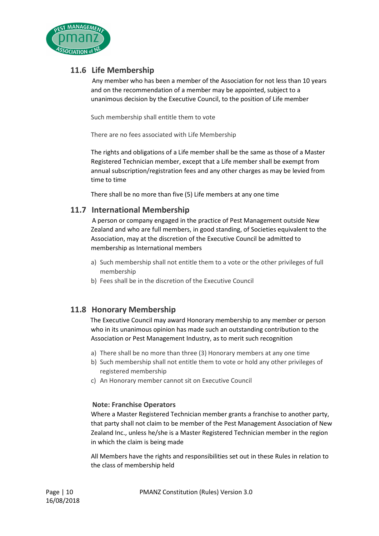

#### **11.6 Life Membership**

 Any member who has been a member of the Association for not less than 10 years and on the recommendation of a member may be appointed, subject to a unanimous decision by the Executive Council, to the position of Life member

Such membership shall entitle them to vote

There are no fees associated with Life Membership

The rights and obligations of a Life member shall be the same as those of a Master Registered Technician member, except that a Life member shall be exempt from annual subscription/registration fees and any other charges as may be levied from time to time

There shall be no more than five (5) Life members at any one time

#### **11.7 International Membership**

 A person or company engaged in the practice of Pest Management outside New Zealand and who are full members, in good standing, of Societies equivalent to the Association, may at the discretion of the Executive Council be admitted to membership as International members

- a) Such membership shall not entitle them to a vote or the other privileges of full membership
- b) Fees shall be in the discretion of the Executive Council

#### **11.8 Honorary Membership**

The Executive Council may award Honorary membership to any member or person who in its unanimous opinion has made such an outstanding contribution to the Association or Pest Management Industry, as to merit such recognition

- a) There shall be no more than three (3) Honorary members at any one time
- b) Such membership shall not entitle them to vote or hold any other privileges of registered membership
- c) An Honorary member cannot sit on Executive Council

#### **Note: Franchise Operators**

Where a Master Registered Technician member grants a franchise to another party, that party shall not claim to be member of the Pest Management Association of New Zealand Inc., unless he/she is a Master Registered Technician member in the region in which the claim is being made

All Members have the rights and responsibilities set out in these Rules in relation to the class of membership held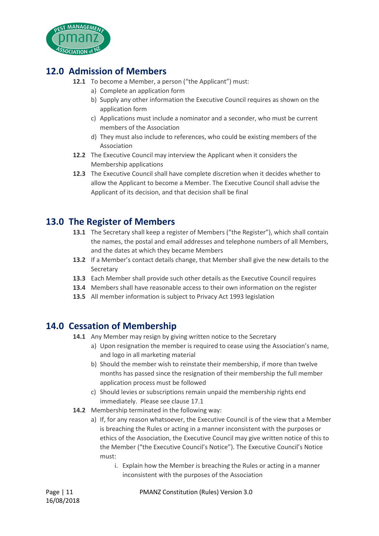

# **12.0 Admission of Members**

- **12.1** To become a Member, a person ("the Applicant") must:
	- a) Complete an application form
	- b) Supply any other information the Executive Council requires as shown on the application form
	- c) Applications must include a nominator and a seconder, who must be current members of the Association
	- d) They must also include to references, who could be existing members of the Association
- **12.2** The Executive Council may interview the Applicant when it considers the Membership applications
- **12.3** The Executive Council shall have complete discretion when it decides whether to allow the Applicant to become a Member. The Executive Council shall advise the Applicant of its decision, and that decision shall be final

## **13.0 The Register of Members**

- **13.1** The Secretary shall keep a register of Members ("the Register"), which shall contain the names, the postal and email addresses and telephone numbers of all Members, and the dates at which they became Members
- **13.2** If a Member's contact details change, that Member shall give the new details to the **Secretary**
- **13.3** Each Member shall provide such other details as the Executive Council requires
- **13.4** Members shall have reasonable access to their own information on the register
- **13.5** All member information is subject to Privacy Act 1993 legislation

## **14.0 Cessation of Membership**

- **14.1** Any Member may resign by giving written notice to the Secretary
	- a) Upon resignation the member is required to cease using the Association's name, and logo in all marketing material
	- b) Should the member wish to reinstate their membership, if more than twelve months has passed since the resignation of their membership the full member application process must be followed
	- c) Should levies or subscriptions remain unpaid the membership rights end immediately. Please see clause 17.1
- **14.2** Membership terminated in the following way:
	- a) If, for any reason whatsoever, the Executive Council is of the view that a Member is breaching the Rules or acting in a manner inconsistent with the purposes or ethics of the Association, the Executive Council may give written notice of this to the Member ("the Executive Council's Notice"). The Executive Council's Notice must:
		- i. Explain how the Member is breaching the Rules or acting in a manner inconsistent with the purposes of the Association

Page | 11 PMANZ Constitution (Rules) Version 3.0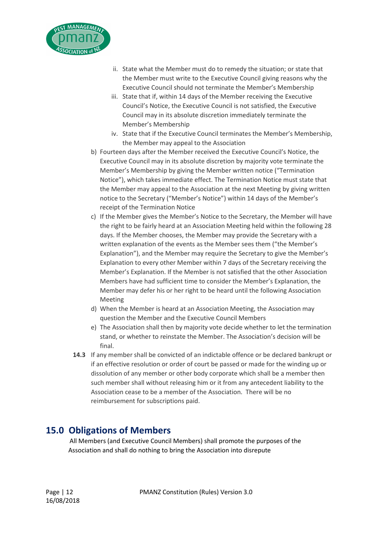

- ii. State what the Member must do to remedy the situation; or state that the Member must write to the Executive Council giving reasons why the Executive Council should not terminate the Member's Membership
- iii. State that if, within 14 days of the Member receiving the Executive Council's Notice, the Executive Council is not satisfied, the Executive Council may in its absolute discretion immediately terminate the Member's Membership
- iv. State that if the Executive Council terminates the Member's Membership, the Member may appeal to the Association
- b) Fourteen days after the Member received the Executive Council's Notice, the Executive Council may in its absolute discretion by majority vote terminate the Member's Membership by giving the Member written notice ("Termination Notice"), which takes immediate effect. The Termination Notice must state that the Member may appeal to the Association at the next Meeting by giving written notice to the Secretary ("Member's Notice") within 14 days of the Member's receipt of the Termination Notice
- c) If the Member gives the Member's Notice to the Secretary, the Member will have the right to be fairly heard at an Association Meeting held within the following 28 days. If the Member chooses, the Member may provide the Secretary with a written explanation of the events as the Member sees them ("the Member's Explanation"), and the Member may require the Secretary to give the Member's Explanation to every other Member within 7 days of the Secretary receiving the Member's Explanation. If the Member is not satisfied that the other Association Members have had sufficient time to consider the Member's Explanation, the Member may defer his or her right to be heard until the following Association Meeting
- d) When the Member is heard at an Association Meeting, the Association may question the Member and the Executive Council Members
- e) The Association shall then by majority vote decide whether to let the termination stand, or whether to reinstate the Member. The Association's decision will be final.
- **14.3** If any member shall be convicted of an indictable offence or be declared bankrupt or if an effective resolution or order of court be passed or made for the winding up or dissolution of any member or other body corporate which shall be a member then such member shall without releasing him or it from any antecedent liability to the Association cease to be a member of the Association. There will be no reimbursement for subscriptions paid.

# **15.0 Obligations of Members**

 All Members (and Executive Council Members) shall promote the purposes of the Association and shall do nothing to bring the Association into disrepute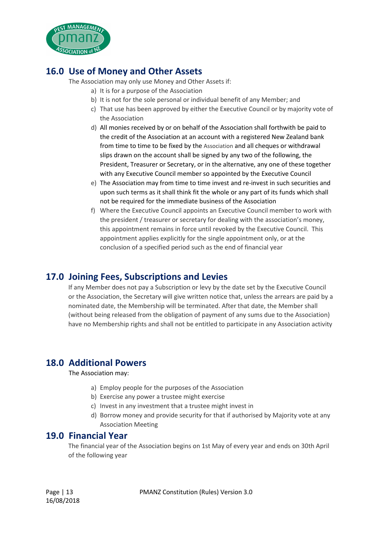

# **16.0 Use of Money and Other Assets**

The Association may only use Money and Other Assets if:

- a) It is for a purpose of the Association
- b) It is not for the sole personal or individual benefit of any Member; and
- c) That use has been approved by either the Executive Council or by majority vote of the Association
- d) All monies received by or on behalf of the Association shall forthwith be paid to the credit of the Association at an account with a registered New Zealand bank from time to time to be fixed by the Association and all cheques or withdrawal slips drawn on the account shall be signed by any two of the following, the President, Treasurer or Secretary, or in the alternative, any one of these together with any Executive Council member so appointed by the Executive Council
- e) The Association may from time to time invest and re-invest in such securities and upon such terms as it shall think fit the whole or any part of its funds which shall not be required for the immediate business of the Association
- f) Where the Executive Council appoints an Executive Council member to work with the president / treasurer or secretary for dealing with the association's money, this appointment remains in force until revoked by the Executive Council. This appointment applies explicitly for the single appointment only, or at the conclusion of a specified period such as the end of financial year

# **17.0 Joining Fees, Subscriptions and Levies**

If any Member does not pay a Subscription or levy by the date set by the Executive Council or the Association, the Secretary will give written notice that, unless the arrears are paid by a nominated date, the Membership will be terminated. After that date, the Member shall (without being released from the obligation of payment of any sums due to the Association) have no Membership rights and shall not be entitled to participate in any Association activity

# **18.0 Additional Powers**

The Association may:

- a) Employ people for the purposes of the Association
- b) Exercise any power a trustee might exercise
- c) Invest in any investment that a trustee might invest in
- d) Borrow money and provide security for that if authorised by Majority vote at any Association Meeting

### **19.0 Financial Year**

The financial year of the Association begins on 1st May of every year and ends on 30th April of the following year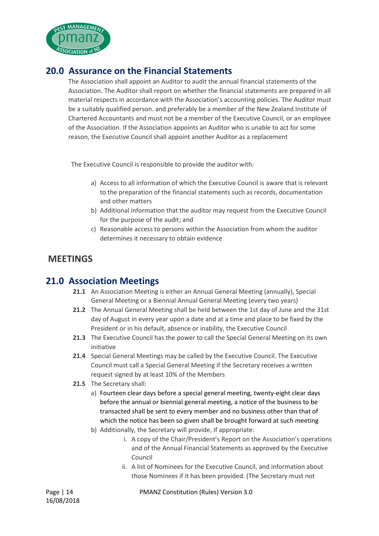

## **20.0 Assurance on the Financial Statements**

The Association shall appoint an Auditor to audit the annual financial statements of the Association. The Auditor shall report on whether the financial statements are prepared in all material respects in accordance with the Association's accounting policies. The Auditor must be a suitably qualified person. and preferably be a member of the New Zealand Institute of Chartered Accountants and must not be a member of the Executive Council, or an employee of the Association. If the Association appoints an Auditor who is unable to act for some reason, the Executive Council shall appoint another Auditor as a replacement

The Executive Council is responsible to provide the auditor with:

- a) Access to all information of which the Executive Council is aware that is relevant to the preparation of the financial statements such as records, documentation and other matters
- b) Additional information that the auditor may request from the Executive Council for the purpose of the audit; and
- c) Reasonable access to persons within the Association from whom the auditor determines it necessary to obtain evidence

## **MEETINGS**

### **21.0 Association Meetings**

- **21.1** An Association Meeting is either an Annual General Meeting (annually), Special General Meeting or a Biennial Annual General Meeting (every two years)
- **21.2** The Annual General Meeting shall be held between the 1st day of June and the 31st day of August in every year upon a date and at a time and place to be fixed by the President or in his default, absence or inability, the Executive Council
- **21.3** The Executive Council has the power to call the Special General Meeting on its own initiative
- **21.4** Special General Meetings may be called by the Executive Council. The Executive Council must call a Special General Meeting if the Secretary receives a written request signed by at least 10% of the Members
- **21.5** The Secretary shall:
	- a) Fourteen clear days before a special general meeting, twenty-eight clear days before the annual or biennial general meeting, a notice of the business to be transacted shall be sent to every member and no business other than that of which the notice has been so given shall be brought forward at such meeting
	- b) Additionally, the Secretary will provide, if appropriate:
		- i. A copy of the Chair/President's Report on the Association's operations and of the Annual Financial Statements as approved by the Executive Council
		- ii. A list of Nominees for the Executive Council, and information about those Nominees if it has been provided. (The Secretary must not

Page | 14 PMANZ Constitution (Rules) Version 3.0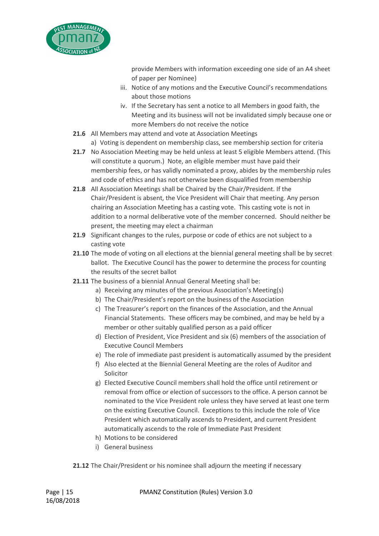

provide Members with information exceeding one side of an A4 sheet of paper per Nominee)

- iii. Notice of any motions and the Executive Council's recommendations about those motions
- iv. If the Secretary has sent a notice to all Members in good faith, the Meeting and its business will not be invalidated simply because one or more Members do not receive the notice
- **21.6** All Members may attend and vote at Association Meetings
	- a) Voting is dependent on membership class, see membership section for criteria
- **21.7** No Association Meeting may be held unless at least 5 eligible Members attend. (This will constitute a quorum.) Note, an eligible member must have paid their membership fees, or has validly nominated a proxy, abides by the membership rules and code of ethics and has not otherwise been disqualified from membership
- **21.8** All Association Meetings shall be Chaired by the Chair/President. If the Chair/President is absent, the Vice President will Chair that meeting. Any person chairing an Association Meeting has a casting vote. This casting vote is not in addition to a normal deliberative vote of the member concerned. Should neither be present, the meeting may elect a chairman
- **21.9** Significant changes to the rules, purpose or code of ethics are not subject to a casting vote
- **21.10** The mode of voting on all elections at the biennial general meeting shall be by secret ballot. The Executive Council has the power to determine the process for counting the results of the secret ballot
- **21.11** The business of a biennial Annual General Meeting shall be:
	- a) Receiving any minutes of the previous Association's Meeting(s)
	- b) The Chair/President's report on the business of the Association
	- c) The Treasurer's report on the finances of the Association, and the Annual Financial Statements. These officers may be combined, and may be held by a member or other suitably qualified person as a paid officer
	- d) Election of President, Vice President and six (6) members of the association of Executive Council Members
	- e) The role of immediate past president is automatically assumed by the president
	- f) Also elected at the Biennial General Meeting are the roles of Auditor and Solicitor
	- g) Elected Executive Council members shall hold the office until retirement or removal from office or election of successors to the office. A person cannot be nominated to the Vice President role unless they have served at least one term on the existing Executive Council. Exceptions to this include the role of Vice President which automatically ascends to President, and current President automatically ascends to the role of Immediate Past President
	- h) Motions to be considered
	- i) General business

**21.12** The Chair/President or his nominee shall adjourn the meeting if necessary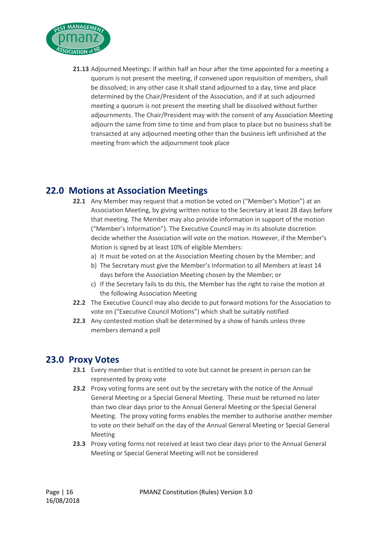

**21.13** Adjourned Meetings: If within half an hour after the time appointed for a meeting a quorum is not present the meeting, if convened upon requisition of members, shall be dissolved; in any other case it shall stand adjourned to a day, time and place determined by the Chair/President of the Association, and if at such adjourned meeting a quorum is not present the meeting shall be dissolved without further adjournments. The Chair/President may with the consent of any Association Meeting adjourn the same from time to time and from place to place but no business shall be transacted at any adjourned meeting other than the business left unfinished at the meeting from which the adjournment took place

# **22.0 Motions at Association Meetings**

- **22.1** Any Member may request that a motion be voted on ("Member's Motion") at an Association Meeting, by giving written notice to the Secretary at least 28 days before that meeting. The Member may also provide information in support of the motion ("Member's Information"). The Executive Council may in its absolute discretion decide whether the Association will vote on the motion. However, if the Member's Motion is signed by at least 10% of eligible Members:
	- a) It must be voted on at the Association Meeting chosen by the Member; and
	- b) The Secretary must give the Member's Information to all Members at least 14 days before the Association Meeting chosen by the Member; or
	- c) If the Secretary fails to do this, the Member has the right to raise the motion at the following Association Meeting
- **22.2** The Executive Council may also decide to put forward motions for the Association to vote on ("Executive Council Motions") which shall be suitably notified
- **22.3** Any contested motion shall be determined by a show of hands unless three members demand a poll

# **23.0 Proxy Votes**

- **23.1** Every member that is entitled to vote but cannot be present in person can be represented by proxy vote
- **23.2** Proxy voting forms are sent out by the secretary with the notice of the Annual General Meeting or a Special General Meeting. These must be returned no later than two clear days prior to the Annual General Meeting or the Special General Meeting. The proxy voting forms enables the member to authorise another member to vote on their behalf on the day of the Annual General Meeting or Special General Meeting
- **23.3** Proxy voting forms not received at least two clear days prior to the Annual General Meeting or Special General Meeting will not be considered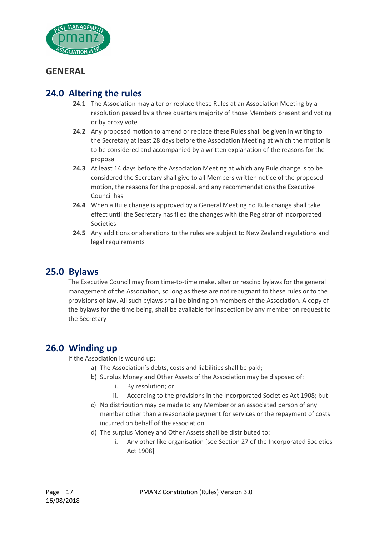

## **GENERAL**

# **24.0 Altering the rules**

- **24.1** The Association may alter or replace these Rules at an Association Meeting by a resolution passed by a three quarters majority of those Members present and voting or by proxy vote
- **24.2** Any proposed motion to amend or replace these Rules shall be given in writing to the Secretary at least 28 days before the Association Meeting at which the motion is to be considered and accompanied by a written explanation of the reasons for the proposal
- **24.3** At least 14 days before the Association Meeting at which any Rule change is to be considered the Secretary shall give to all Members written notice of the proposed motion, the reasons for the proposal, and any recommendations the Executive Council has
- **24.4** When a Rule change is approved by a General Meeting no Rule change shall take effect until the Secretary has filed the changes with the Registrar of Incorporated Societies
- **24.5** Any additions or alterations to the rules are subject to New Zealand regulations and legal requirements

## **25.0 Bylaws**

The Executive Council may from time-to-time make, alter or rescind bylaws for the general management of the Association, so long as these are not repugnant to these rules or to the provisions of law. All such bylaws shall be binding on members of the Association. A copy of the bylaws for the time being, shall be available for inspection by any member on request to the Secretary

## **26.0 Winding up**

If the Association is wound up:

- a) The Association's debts, costs and liabilities shall be paid;
- b) Surplus Money and Other Assets of the Association may be disposed of:
	- i. By resolution; or
	- ii. According to the provisions in the Incorporated Societies Act 1908; but
- c) No distribution may be made to any Member or an associated person of any member other than a reasonable payment for services or the repayment of costs incurred on behalf of the association
- d) The surplus Money and Other Assets shall be distributed to:
	- i. Any other like organisation [see Section 27 of the Incorporated Societies Act 1908]